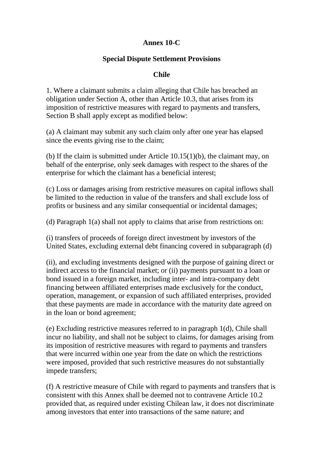## **Annex 10-C**

## **Special Dispute Settlement Provisions**

## **Chile**

1. Where a claimant submits a claim alleging that Chile has breached an obligation under Section A, other than Article 10.3, that arises from its imposition of restrictive measures with regard to payments and transfers, Section B shall apply except as modified below:

(a) A claimant may submit any such claim only after one year has elapsed since the events giving rise to the claim;

(b) If the claim is submitted under Article 10.15(1)(b), the claimant may, on behalf of the enterprise, only seek damages with respect to the shares of the enterprise for which the claimant has a beneficial interest;

(c) Loss or damages arising from restrictive measures on capital inflows shall be limited to the reduction in value of the transfers and shall exclude loss of profits or business and any similar consequential or incidental damages;

(d) Paragraph 1(a) shall not apply to claims that arise from restrictions on:

(i) transfers of proceeds of foreign direct investment by investors of the United States, excluding external debt financing covered in subparagraph (d)

(ii), and excluding investments designed with the purpose of gaining direct or indirect access to the financial market; or (ii) payments pursuant to a loan or bond issued in a foreign market, including inter- and intra-company debt financing between affiliated enterprises made exclusively for the conduct, operation, management, or expansion of such affiliated enterprises, provided that these payments are made in accordance with the maturity date agreed on in the loan or bond agreement;

(e) Excluding restrictive measures referred to in paragraph 1(d), Chile shall incur no liability, and shall not be subject to claims, for damages arising from its imposition of restrictive measures with regard to payments and transfers that were incurred within one year from the date on which the restrictions were imposed, provided that such restrictive measures do not substantially impede transfers;

(f) A restrictive measure of Chile with regard to payments and transfers that is consistent with this Annex shall be deemed not to contravene Article 10.2 provided that, as required under existing Chilean law, it does not discriminate among investors that enter into transactions of the same nature; and